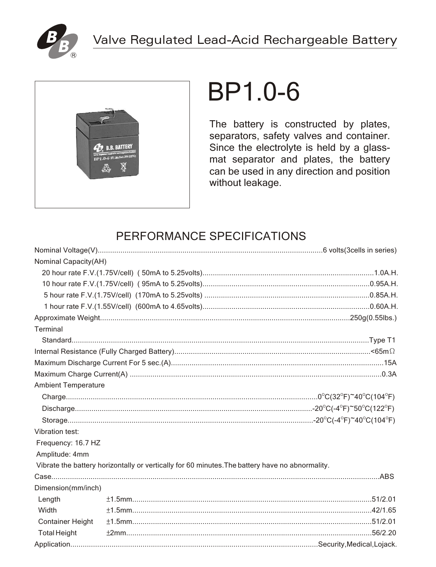



# **BP1.0-6**

The battery is constructed by plates, separators, safety valves and container. Since the electrolyte is held by a glassmat separator and plates, the battery can be used in any direction and position without leakage.

## PERFORMANCE SPECIFICATIONS

| Nominal Capacity(AH)       |                                                                                                 |  |
|----------------------------|-------------------------------------------------------------------------------------------------|--|
|                            |                                                                                                 |  |
|                            |                                                                                                 |  |
|                            |                                                                                                 |  |
|                            |                                                                                                 |  |
|                            |                                                                                                 |  |
| Terminal                   |                                                                                                 |  |
|                            |                                                                                                 |  |
|                            |                                                                                                 |  |
|                            |                                                                                                 |  |
|                            |                                                                                                 |  |
| <b>Ambient Temperature</b> |                                                                                                 |  |
|                            |                                                                                                 |  |
|                            |                                                                                                 |  |
|                            |                                                                                                 |  |
| Vibration test:            |                                                                                                 |  |
| Frequency: 16.7 HZ         |                                                                                                 |  |
| Amplitude: 4mm             |                                                                                                 |  |
|                            | Vibrate the battery horizontally or vertically for 60 minutes. The battery have no abnormality. |  |
|                            |                                                                                                 |  |
| Dimension(mm/inch)         |                                                                                                 |  |
| Length                     |                                                                                                 |  |
| Width                      |                                                                                                 |  |
| <b>Container Height</b>    |                                                                                                 |  |
| <b>Total Height</b>        |                                                                                                 |  |
|                            |                                                                                                 |  |